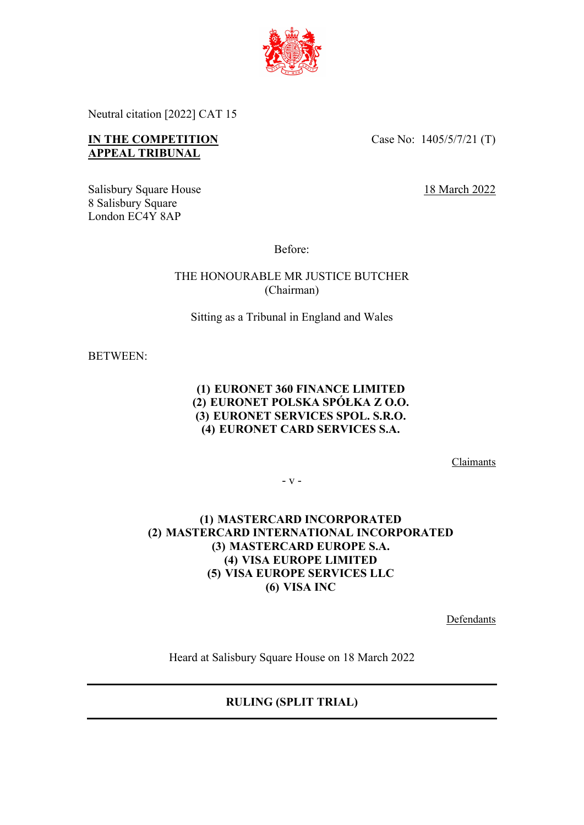

Neutral citation [2022] CAT 15

# **IN THE COMPETITION APPEAL TRIBUNAL**

Case No: 1405/5/7/21 (T)

Salisbury Square House 18 March 2022 8 Salisbury Square London EC4Y 8AP

Before:

THE HONOURABLE MR JUSTICE BUTCHER (Chairman)

Sitting as a Tribunal in England and Wales

BETWEEN:

### **(1) EURONET 360 FINANCE LIMITED (2) EURONET POLSKA SPÓŁKA Z O.O. (3) EURONET SERVICES SPOL. S.R.O. (4) EURONET CARD SERVICES S.A.**

Claimants

- v -

## **(1) MASTERCARD INCORPORATED (2) MASTERCARD INTERNATIONAL INCORPORATED (3) MASTERCARD EUROPE S.A. (4) VISA EUROPE LIMITED (5) VISA EUROPE SERVICES LLC (6) VISA INC**

Defendants

Heard at Salisbury Square House on 18 March 2022

**RULING (SPLIT TRIAL)**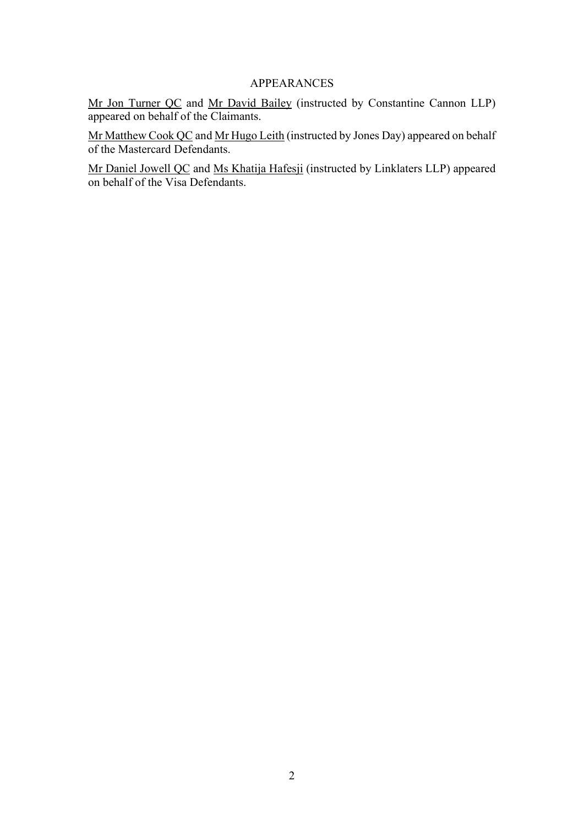## APPEARANCES

Mr Jon Turner QC and Mr David Bailey (instructed by Constantine Cannon LLP) appeared on behalf of the Claimants.

Mr Matthew Cook QC and Mr Hugo Leith (instructed by Jones Day) appeared on behalf of the Mastercard Defendants.

Mr Daniel Jowell QC and Ms Khatija Hafesji (instructed by Linklaters LLP) appeared on behalf of the Visa Defendants.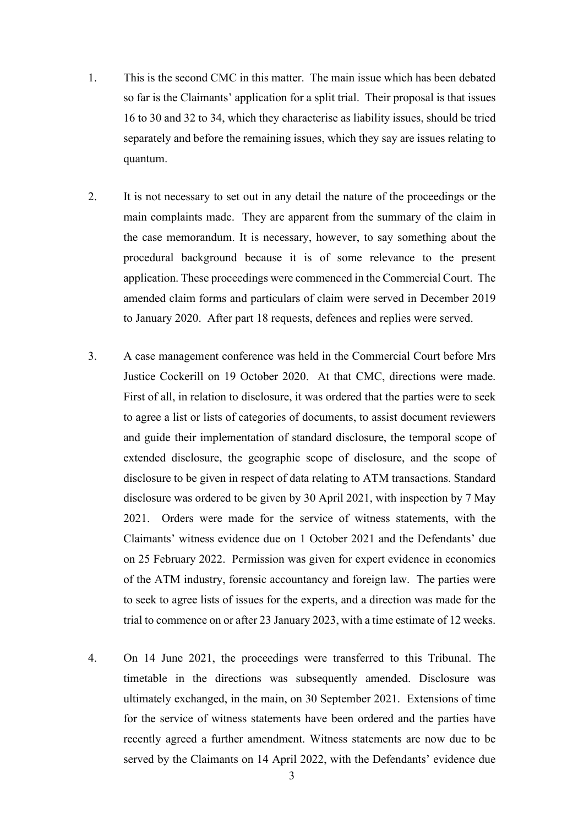- 1. This is the second CMC in this matter. The main issue which has been debated so far is the Claimants' application for a split trial. Their proposal is that issues 16 to 30 and 32 to 34, which they characterise as liability issues, should be tried separately and before the remaining issues, which they say are issues relating to quantum.
- 2. It is not necessary to set out in any detail the nature of the proceedings or the main complaints made. They are apparent from the summary of the claim in the case memorandum. It is necessary, however, to say something about the procedural background because it is of some relevance to the present application. These proceedings were commenced in the Commercial Court. The amended claim forms and particulars of claim were served in December 2019 to January 2020. After part 18 requests, defences and replies were served.
- 3. A case management conference was held in the Commercial Court before Mrs Justice Cockerill on 19 October 2020. At that CMC, directions were made. First of all, in relation to disclosure, it was ordered that the parties were to seek to agree a list or lists of categories of documents, to assist document reviewers and guide their implementation of standard disclosure, the temporal scope of extended disclosure, the geographic scope of disclosure, and the scope of disclosure to be given in respect of data relating to ATM transactions. Standard disclosure was ordered to be given by 30 April 2021, with inspection by 7 May 2021. Orders were made for the service of witness statements, with the Claimants' witness evidence due on 1 October 2021 and the Defendants' due on 25 February 2022. Permission was given for expert evidence in economics of the ATM industry, forensic accountancy and foreign law. The parties were to seek to agree lists of issues for the experts, and a direction was made for the trial to commence on or after 23 January 2023, with a time estimate of 12 weeks.
- 4. On 14 June 2021, the proceedings were transferred to this Tribunal. The timetable in the directions was subsequently amended. Disclosure was ultimately exchanged, in the main, on 30 September 2021. Extensions of time for the service of witness statements have been ordered and the parties have recently agreed a further amendment. Witness statements are now due to be served by the Claimants on 14 April 2022, with the Defendants' evidence due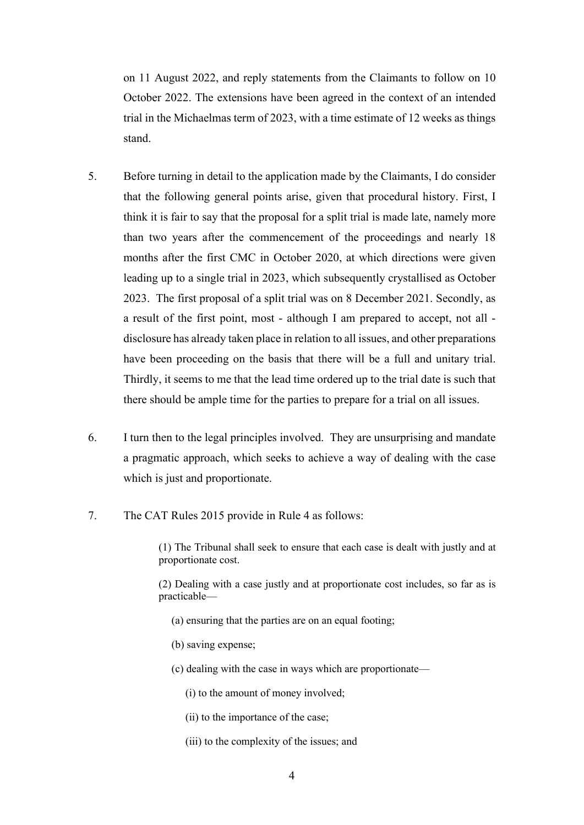on 11 August 2022, and reply statements from the Claimants to follow on 10 October 2022. The extensions have been agreed in the context of an intended trial in the Michaelmas term of 2023, with a time estimate of 12 weeks as things stand.

- 5. Before turning in detail to the application made by the Claimants, I do consider that the following general points arise, given that procedural history. First, I think it is fair to say that the proposal for a split trial is made late, namely more than two years after the commencement of the proceedings and nearly 18 months after the first CMC in October 2020, at which directions were given leading up to a single trial in 2023, which subsequently crystallised as October 2023. The first proposal of a split trial was on 8 December 2021. Secondly, as a result of the first point, most - although I am prepared to accept, not all disclosure has already taken place in relation to all issues, and other preparations have been proceeding on the basis that there will be a full and unitary trial. Thirdly, it seems to me that the lead time ordered up to the trial date is such that there should be ample time for the parties to prepare for a trial on all issues.
- 6. I turn then to the legal principles involved. They are unsurprising and mandate a pragmatic approach, which seeks to achieve a way of dealing with the case which is just and proportionate.
- 7. The CAT Rules 2015 provide in Rule 4 as follows:

(1) The Tribunal shall seek to ensure that each case is dealt with justly and at proportionate cost.

(2) Dealing with a case justly and at proportionate cost includes, so far as is practicable—

- (a) ensuring that the parties are on an equal footing;
- (b) saving expense;
- (c) dealing with the case in ways which are proportionate—
	- (i) to the amount of money involved;
	- (ii) to the importance of the case;
	- (iii) to the complexity of the issues; and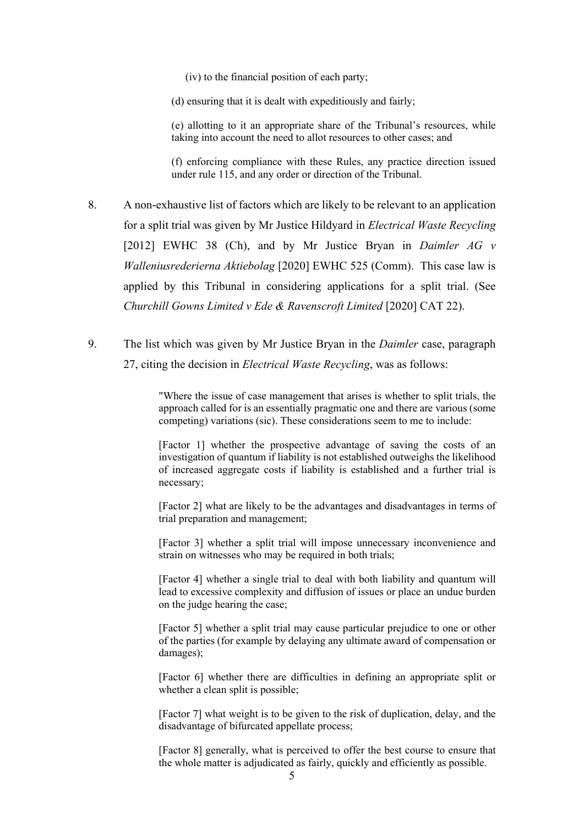(iv) to the financial position of each party;

(d) ensuring that it is dealt with expeditiously and fairly;

(e) allotting to it an appropriate share of the Tribunal's resources, while taking into account the need to allot resources to other cases; and

(f) enforcing compliance with these Rules, any practice direction issued under rule 115, and any order or direction of the Tribunal.

- 8. A non-exhaustive list of factors which are likely to be relevant to an application for a split trial was given by Mr Justice Hildyard in *Electrical Waste Recycling* [2012] EWHC 38 (Ch), and by Mr Justice Bryan in *Daimler AG v Walleniusrederierna Aktiebolag* [2020] EWHC 525 (Comm). This case law is applied by this Tribunal in considering applications for a split trial. (See *Churchill Gowns Limited v Ede & Ravenscroft Limited* [2020] CAT 22).
- 9. The list which was given by Mr Justice Bryan in the *Daimler* case, paragraph 27, citing the decision in *Electrical Waste Recycling*, was as follows:

"Where the issue of case management that arises is whether to split trials, the approach called for is an essentially pragmatic one and there are various (some competing) variations (sic). These considerations seem to me to include:

[Factor 1] whether the prospective advantage of saving the costs of an investigation of quantum if liability is not established outweighs the likelihood of increased aggregate costs if liability is established and a further trial is necessary;

[Factor 2] what are likely to be the advantages and disadvantages in terms of trial preparation and management;

[Factor 3] whether a split trial will impose unnecessary inconvenience and strain on witnesses who may be required in both trials;

[Factor 4] whether a single trial to deal with both liability and quantum will lead to excessive complexity and diffusion of issues or place an undue burden on the judge hearing the case;

[Factor 5] whether a split trial may cause particular prejudice to one or other of the parties (for example by delaying any ultimate award of compensation or damages);

[Factor 6] whether there are difficulties in defining an appropriate split or whether a clean split is possible;

[Factor 7] what weight is to be given to the risk of duplication, delay, and the disadvantage of bifurcated appellate process;

[Factor 8] generally, what is perceived to offer the best course to ensure that the whole matter is adjudicated as fairly, quickly and efficiently as possible.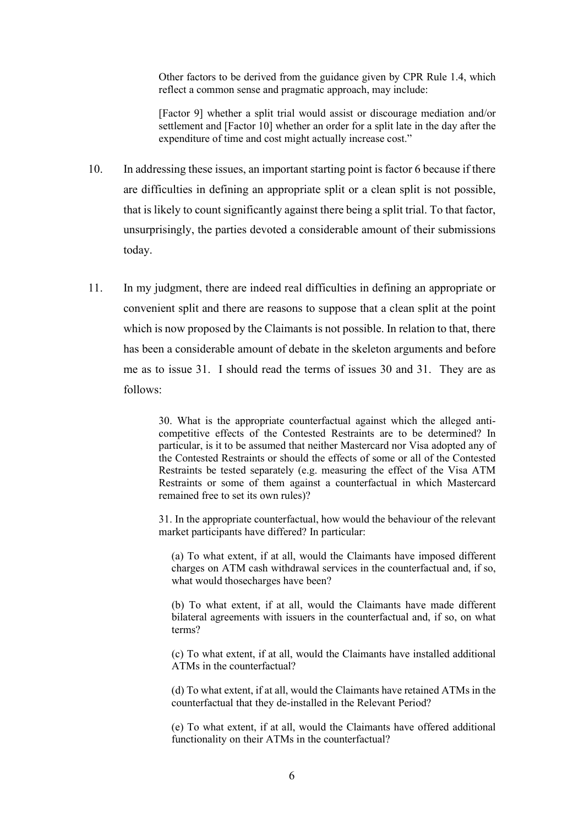Other factors to be derived from the guidance given by CPR Rule 1.4, which reflect a common sense and pragmatic approach, may include:

[Factor 9] whether a split trial would assist or discourage mediation and/or settlement and [Factor 10] whether an order for a split late in the day after the expenditure of time and cost might actually increase cost."

- 10. In addressing these issues, an important starting point is factor 6 because if there are difficulties in defining an appropriate split or a clean split is not possible, that is likely to count significantly against there being a split trial. To that factor, unsurprisingly, the parties devoted a considerable amount of their submissions today.
- 11. In my judgment, there are indeed real difficulties in defining an appropriate or convenient split and there are reasons to suppose that a clean split at the point which is now proposed by the Claimants is not possible. In relation to that, there has been a considerable amount of debate in the skeleton arguments and before me as to issue 31. I should read the terms of issues 30 and 31. They are as follows:

30. What is the appropriate counterfactual against which the alleged anticompetitive effects of the Contested Restraints are to be determined? In particular, is it to be assumed that neither Mastercard nor Visa adopted any of the Contested Restraints or should the effects of some or all of the Contested Restraints be tested separately (e.g. measuring the effect of the Visa ATM Restraints or some of them against a counterfactual in which Mastercard remained free to set its own rules)?

31. In the appropriate counterfactual, how would the behaviour of the relevant market participants have differed? In particular:

(a) To what extent, if at all, would the Claimants have imposed different charges on ATM cash withdrawal services in the counterfactual and, if so, what would those charges have been?

(b) To what extent, if at all, would the Claimants have made different bilateral agreements with issuers in the counterfactual and, if so, on what terms?

(c) To what extent, if at all, would the Claimants have installed additional ATMs in the counterfactual?

(d) To what extent, if at all, would the Claimants have retained ATMs in the counterfactual that they de-installed in the Relevant Period?

(e) To what extent, if at all, would the Claimants have offered additional functionality on their ATMs in the counterfactual?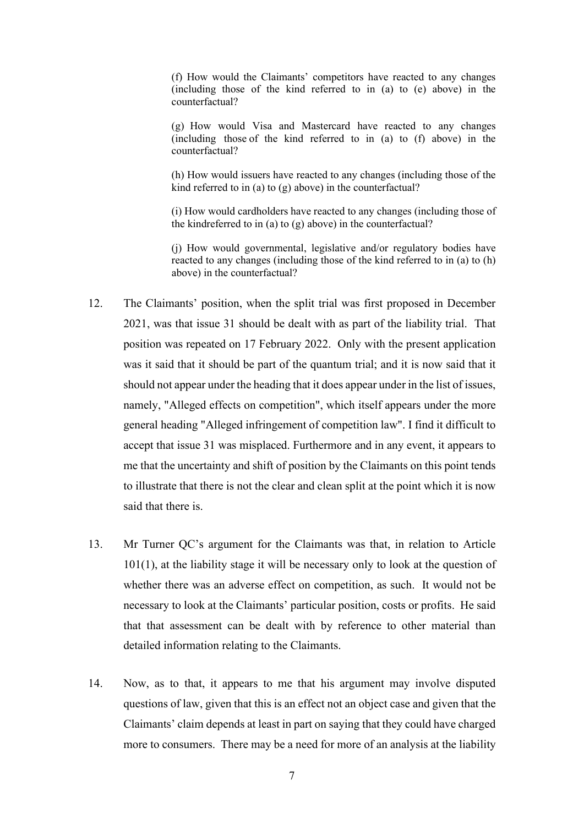(f) How would the Claimants' competitors have reacted to any changes (including those of the kind referred to in (a) to (e) above) in the counterfactual?

(g) How would Visa and Mastercard have reacted to any changes (including those of the kind referred to in (a) to (f) above) in the counterfactual?

(h) How would issuers have reacted to any changes (including those of the kind referred to in (a) to (g) above) in the counterfactual?

(i) How would cardholders have reacted to any changes (including those of the kind referred to in (a) to (g) above) in the counterfactual?

(j) How would governmental, legislative and/or regulatory bodies have reacted to any changes (including those of the kind referred to in (a) to (h) above) in the counterfactual?

- 12. The Claimants' position, when the split trial was first proposed in December 2021, was that issue 31 should be dealt with as part of the liability trial. That position was repeated on 17 February 2022. Only with the present application was it said that it should be part of the quantum trial; and it is now said that it should not appear under the heading that it does appear under in the list of issues, namely, "Alleged effects on competition", which itself appears under the more general heading "Alleged infringement of competition law". I find it difficult to accept that issue 31 was misplaced. Furthermore and in any event, it appears to me that the uncertainty and shift of position by the Claimants on this point tends to illustrate that there is not the clear and clean split at the point which it is now said that there is.
- 13. Mr Turner QC's argument for the Claimants was that, in relation to Article 101(1), at the liability stage it will be necessary only to look at the question of whether there was an adverse effect on competition, as such. It would not be necessary to look at the Claimants' particular position, costs or profits. He said that that assessment can be dealt with by reference to other material than detailed information relating to the Claimants.
- 14. Now, as to that, it appears to me that his argument may involve disputed questions of law, given that this is an effect not an object case and given that the Claimants' claim depends at least in part on saying that they could have charged more to consumers. There may be a need for more of an analysis at the liability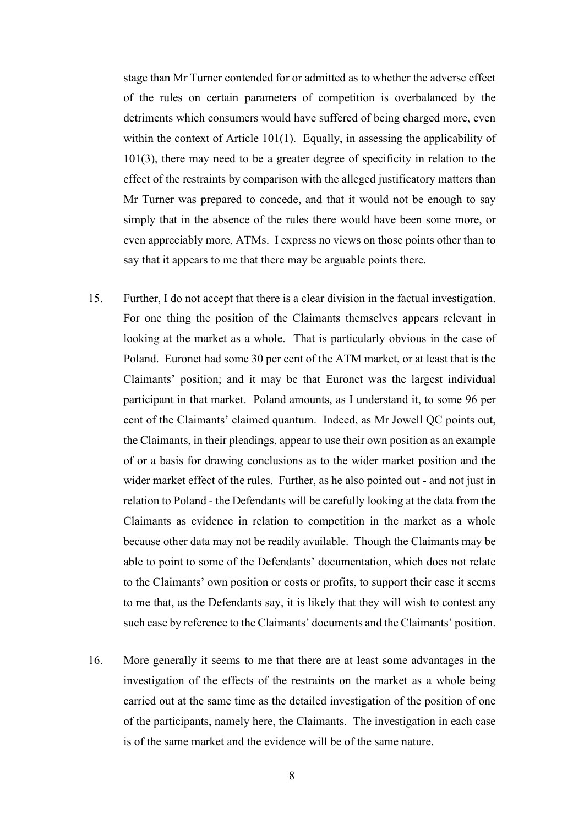stage than Mr Turner contended for or admitted as to whether the adverse effect of the rules on certain parameters of competition is overbalanced by the detriments which consumers would have suffered of being charged more, even within the context of Article 101(1). Equally, in assessing the applicability of 101(3), there may need to be a greater degree of specificity in relation to the effect of the restraints by comparison with the alleged justificatory matters than Mr Turner was prepared to concede, and that it would not be enough to say simply that in the absence of the rules there would have been some more, or even appreciably more, ATMs. I express no views on those points other than to say that it appears to me that there may be arguable points there.

- 15. Further, I do not accept that there is a clear division in the factual investigation. For one thing the position of the Claimants themselves appears relevant in looking at the market as a whole. That is particularly obvious in the case of Poland. Euronet had some 30 per cent of the ATM market, or at least that is the Claimants' position; and it may be that Euronet was the largest individual participant in that market. Poland amounts, as I understand it, to some 96 per cent of the Claimants' claimed quantum. Indeed, as Mr Jowell QC points out, the Claimants, in their pleadings, appear to use their own position as an example of or a basis for drawing conclusions as to the wider market position and the wider market effect of the rules. Further, as he also pointed out - and not just in relation to Poland - the Defendants will be carefully looking at the data from the Claimants as evidence in relation to competition in the market as a whole because other data may not be readily available. Though the Claimants may be able to point to some of the Defendants' documentation, which does not relate to the Claimants' own position or costs or profits, to support their case it seems to me that, as the Defendants say, it is likely that they will wish to contest any such case by reference to the Claimants' documents and the Claimants' position.
- 16. More generally it seems to me that there are at least some advantages in the investigation of the effects of the restraints on the market as a whole being carried out at the same time as the detailed investigation of the position of one of the participants, namely here, the Claimants. The investigation in each case is of the same market and the evidence will be of the same nature.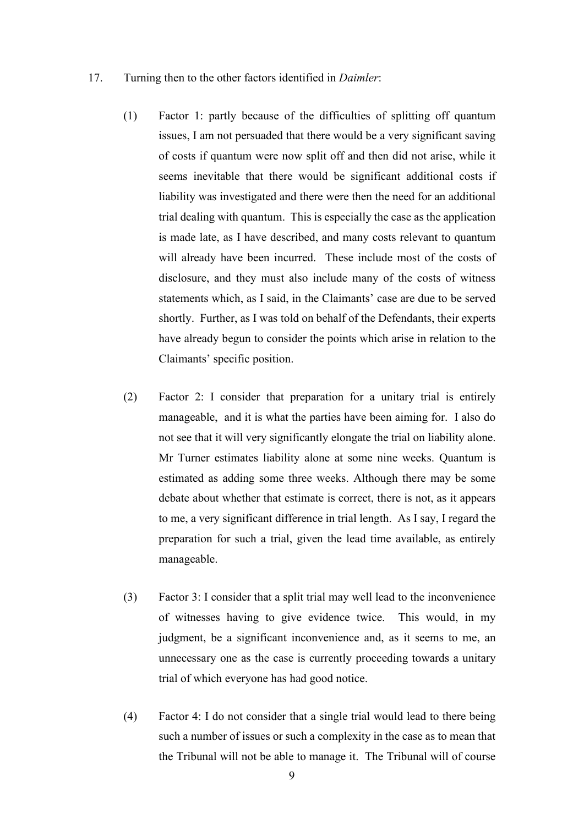#### 17. Turning then to the other factors identified in *Daimler*:

- (1) Factor 1: partly because of the difficulties of splitting off quantum issues, I am not persuaded that there would be a very significant saving of costs if quantum were now split off and then did not arise, while it seems inevitable that there would be significant additional costs if liability was investigated and there were then the need for an additional trial dealing with quantum. This is especially the case as the application is made late, as I have described, and many costs relevant to quantum will already have been incurred. These include most of the costs of disclosure, and they must also include many of the costs of witness statements which, as I said, in the Claimants' case are due to be served shortly. Further, as I was told on behalf of the Defendants, their experts have already begun to consider the points which arise in relation to the Claimants' specific position.
- (2) Factor 2: I consider that preparation for a unitary trial is entirely manageable, and it is what the parties have been aiming for. I also do not see that it will very significantly elongate the trial on liability alone. Mr Turner estimates liability alone at some nine weeks. Quantum is estimated as adding some three weeks. Although there may be some debate about whether that estimate is correct, there is not, as it appears to me, a very significant difference in trial length. As I say, I regard the preparation for such a trial, given the lead time available, as entirely manageable.
- (3) Factor 3: I consider that a split trial may well lead to the inconvenience of witnesses having to give evidence twice. This would, in my judgment, be a significant inconvenience and, as it seems to me, an unnecessary one as the case is currently proceeding towards a unitary trial of which everyone has had good notice.
- (4) Factor 4: I do not consider that a single trial would lead to there being such a number of issues or such a complexity in the case as to mean that the Tribunal will not be able to manage it. The Tribunal will of course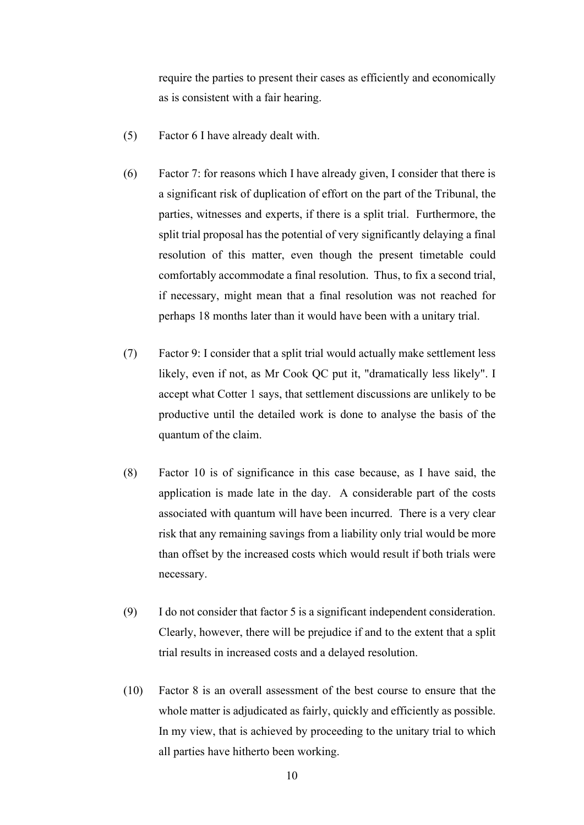require the parties to present their cases as efficiently and economically as is consistent with a fair hearing.

- (5) Factor 6 I have already dealt with.
- (6) Factor 7: for reasons which I have already given, I consider that there is a significant risk of duplication of effort on the part of the Tribunal, the parties, witnesses and experts, if there is a split trial. Furthermore, the split trial proposal has the potential of very significantly delaying a final resolution of this matter, even though the present timetable could comfortably accommodate a final resolution. Thus, to fix a second trial, if necessary, might mean that a final resolution was not reached for perhaps 18 months later than it would have been with a unitary trial.
- (7) Factor 9: I consider that a split trial would actually make settlement less likely, even if not, as Mr Cook QC put it, "dramatically less likely". I accept what Cotter 1 says, that settlement discussions are unlikely to be productive until the detailed work is done to analyse the basis of the quantum of the claim.
- (8) Factor 10 is of significance in this case because, as I have said, the application is made late in the day. A considerable part of the costs associated with quantum will have been incurred. There is a very clear risk that any remaining savings from a liability only trial would be more than offset by the increased costs which would result if both trials were necessary.
- (9) I do not consider that factor 5 is a significant independent consideration. Clearly, however, there will be prejudice if and to the extent that a split trial results in increased costs and a delayed resolution.
- (10) Factor 8 is an overall assessment of the best course to ensure that the whole matter is adjudicated as fairly, quickly and efficiently as possible. In my view, that is achieved by proceeding to the unitary trial to which all parties have hitherto been working.